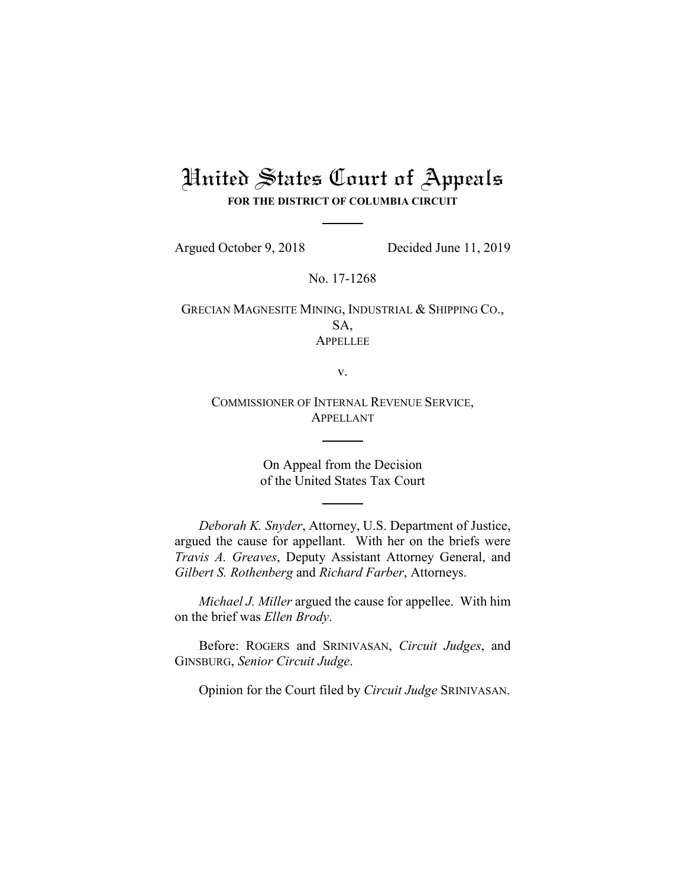## United States Court of Appeals

**FOR THE DISTRICT OF COLUMBIA CIRCUIT**

Argued October 9, 2018 Decided June 11, 2019

No. 17-1268

GRECIAN MAGNESITE MINING, INDUSTRIAL & SHIPPING CO., SA, **APPELLEE** 

v.

COMMISSIONER OF INTERNAL REVENUE SERVICE, APPELLANT

> On Appeal from the Decision of the United States Tax Court

*Deborah K. Snyder*, Attorney, U.S. Department of Justice, argued the cause for appellant. With her on the briefs were *Travis A. Greaves*, Deputy Assistant Attorney General, and *Gilbert S. Rothenberg* and *Richard Farber*, Attorneys.

*Michael J. Miller* argued the cause for appellee. With him on the brief was *Ellen Brody*.

Before: ROGERS and SRINIVASAN, *Circuit Judges*, and GINSBURG, *Senior Circuit Judge*.

Opinion for the Court filed by *Circuit Judge* SRINIVASAN.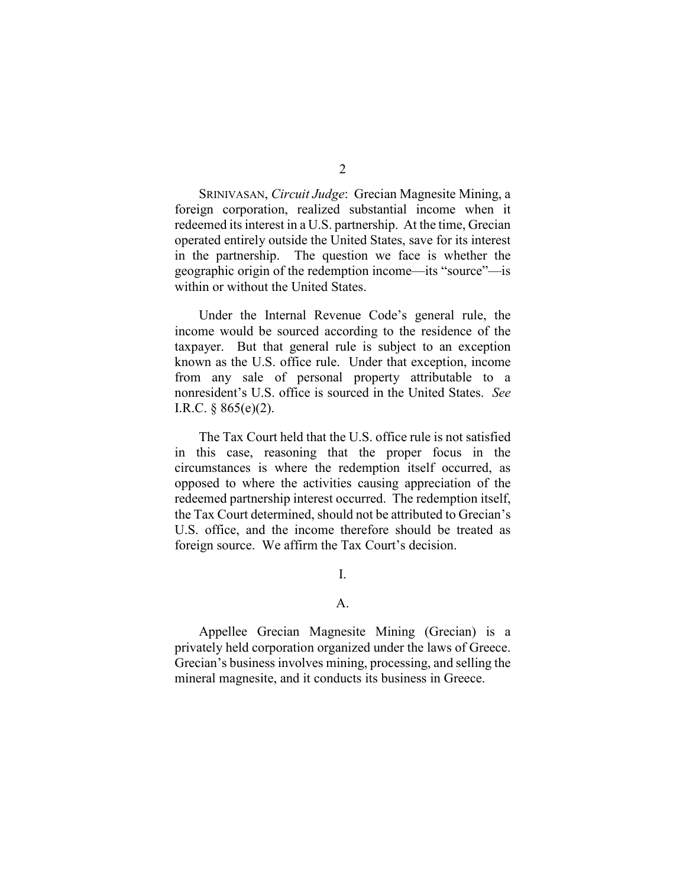SRINIVASAN, *Circuit Judge*: Grecian Magnesite Mining, a foreign corporation, realized substantial income when it redeemed its interest in a U.S. partnership. At the time, Grecian operated entirely outside the United States, save for its interest in the partnership. The question we face is whether the geographic origin of the redemption income—its "source"—is within or without the United States.

Under the Internal Revenue Code's general rule, the income would be sourced according to the residence of the taxpayer. But that general rule is subject to an exception known as the U.S. office rule. Under that exception, income from any sale of personal property attributable to a nonresident's U.S. office is sourced in the United States. *See*  I.R.C.  $§ 865(e)(2)$ .

The Tax Court held that the U.S. office rule is not satisfied in this case, reasoning that the proper focus in the circumstances is where the redemption itself occurred, as opposed to where the activities causing appreciation of the redeemed partnership interest occurred. The redemption itself, the Tax Court determined, should not be attributed to Grecian's U.S. office, and the income therefore should be treated as foreign source. We affirm the Tax Court's decision.

I.

## A.

Appellee Grecian Magnesite Mining (Grecian) is a privately held corporation organized under the laws of Greece. Grecian's business involves mining, processing, and selling the mineral magnesite, and it conducts its business in Greece.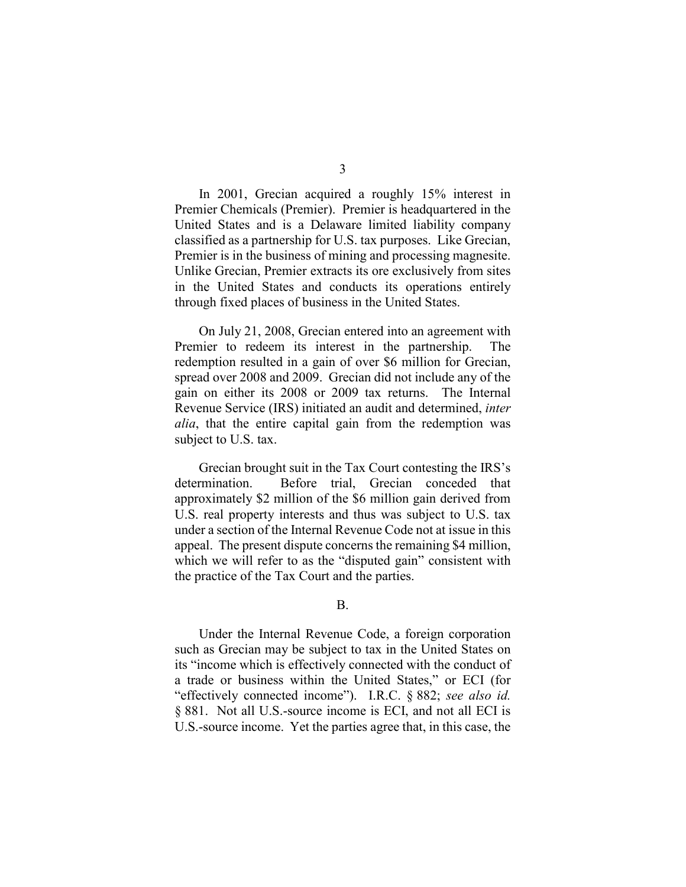3

In 2001, Grecian acquired a roughly 15% interest in Premier Chemicals (Premier). Premier is headquartered in the United States and is a Delaware limited liability company classified as a partnership for U.S. tax purposes. Like Grecian, Premier is in the business of mining and processing magnesite. Unlike Grecian, Premier extracts its ore exclusively from sites in the United States and conducts its operations entirely through fixed places of business in the United States.

On July 21, 2008, Grecian entered into an agreement with Premier to redeem its interest in the partnership. The redemption resulted in a gain of over \$6 million for Grecian, spread over 2008 and 2009. Grecian did not include any of the gain on either its 2008 or 2009 tax returns. The Internal Revenue Service (IRS) initiated an audit and determined, *inter alia*, that the entire capital gain from the redemption was subject to U.S. tax.

Grecian brought suit in the Tax Court contesting the IRS's determination. Before trial, Grecian conceded that approximately \$2 million of the \$6 million gain derived from U.S. real property interests and thus was subject to U.S. tax under a section of the Internal Revenue Code not at issue in this appeal.The present dispute concerns the remaining \$4 million, which we will refer to as the "disputed gain" consistent with the practice of the Tax Court and the parties.

## B.

Under the Internal Revenue Code, a foreign corporation such as Grecian may be subject to tax in the United States on its "income which is effectively connected with the conduct of a trade or business within the United States," or ECI (for "effectively connected income"). I.R.C. § 882; *see also id.* § 881. Not all U.S.-source income is ECI, and not all ECI is U.S.-source income. Yet the parties agree that, in this case, the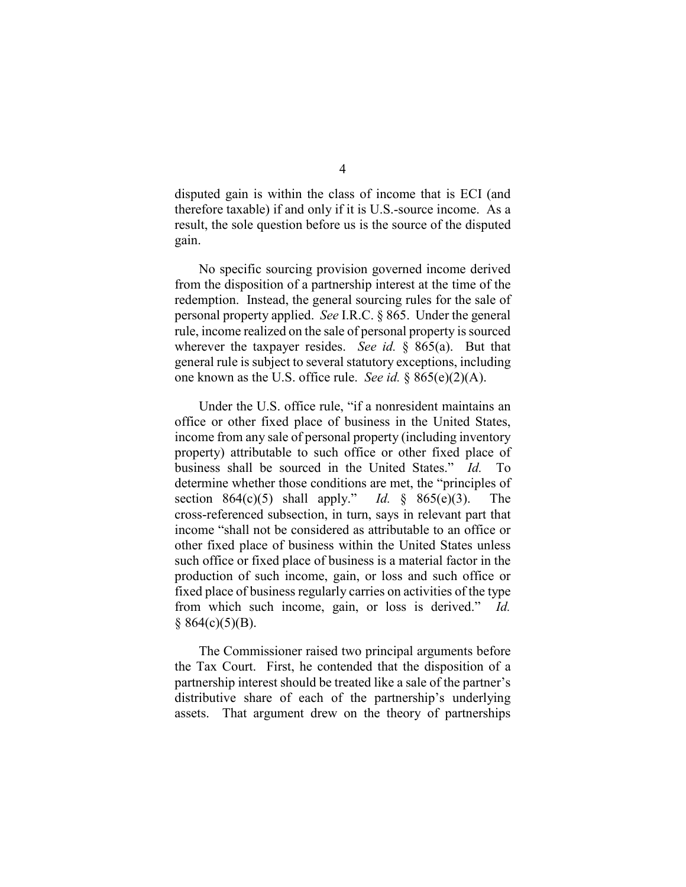disputed gain is within the class of income that is ECI (and therefore taxable) if and only if it is U.S.-source income. As a result, the sole question before us is the source of the disputed gain.

No specific sourcing provision governed income derived from the disposition of a partnership interest at the time of the redemption. Instead, the general sourcing rules for the sale of personal property applied. *See* I.R.C. § 865. Under the general rule, income realized on the sale of personal property is sourced wherever the taxpayer resides. *See id.* § 865(a). But that general rule is subject to several statutory exceptions, including one known as the U.S. office rule. *See id.* § 865(e)(2)(A).

Under the U.S. office rule, "if a nonresident maintains an office or other fixed place of business in the United States, income from any sale of personal property (including inventory property) attributable to such office or other fixed place of business shall be sourced in the United States." *Id.* To determine whether those conditions are met, the "principles of section 864(c)(5) shall apply." *Id.* § 865(e)(3). The cross-referenced subsection, in turn, says in relevant part that income "shall not be considered as attributable to an office or other fixed place of business within the United States unless such office or fixed place of business is a material factor in the production of such income, gain, or loss and such office or fixed place of business regularly carries on activities of the type from which such income, gain, or loss is derived." *Id.*   $§ 864(c)(5)(B).$ 

The Commissioner raised two principal arguments before the Tax Court. First, he contended that the disposition of a partnership interest should be treated like a sale of the partner's distributive share of each of the partnership's underlying assets. That argument drew on the theory of partnerships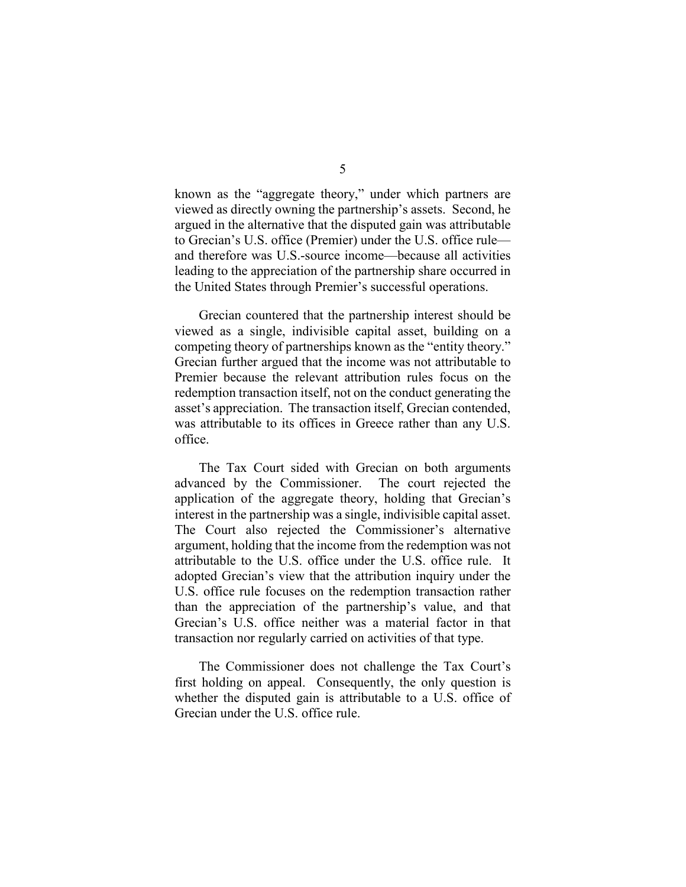known as the "aggregate theory," under which partners are viewed as directly owning the partnership's assets. Second, he argued in the alternative that the disputed gain was attributable to Grecian's U.S. office (Premier) under the U.S. office rule and therefore was U.S.-source income—because all activities leading to the appreciation of the partnership share occurred in the United States through Premier's successful operations.

Grecian countered that the partnership interest should be viewed as a single, indivisible capital asset, building on a competing theory of partnerships known as the "entity theory." Grecian further argued that the income was not attributable to Premier because the relevant attribution rules focus on the redemption transaction itself, not on the conduct generating the asset's appreciation. The transaction itself, Grecian contended, was attributable to its offices in Greece rather than any U.S. office.

The Tax Court sided with Grecian on both arguments advanced by the Commissioner. The court rejected the application of the aggregate theory, holding that Grecian's interest in the partnership was a single, indivisible capital asset. The Court also rejected the Commissioner's alternative argument, holding that the income from the redemption was not attributable to the U.S. office under the U.S. office rule.It adopted Grecian's view that the attribution inquiry under the U.S. office rule focuses on the redemption transaction rather than the appreciation of the partnership's value, and that Grecian's U.S. office neither was a material factor in that transaction nor regularly carried on activities of that type.

The Commissioner does not challenge the Tax Court's first holding on appeal. Consequently, the only question is whether the disputed gain is attributable to a U.S. office of Grecian under the U.S. office rule.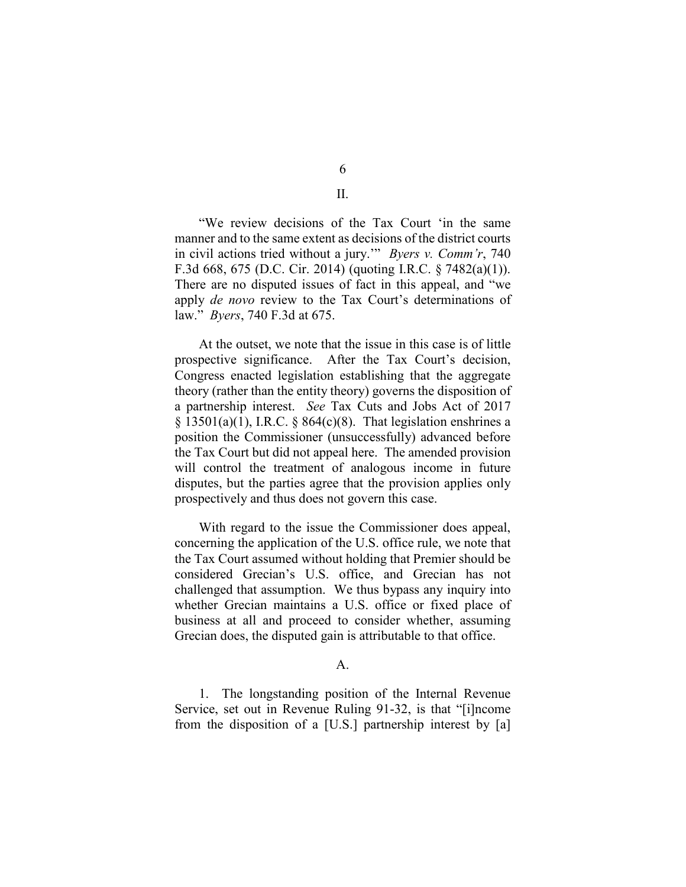"We review decisions of the Tax Court 'in the same manner and to the same extent as decisions of the district courts in civil actions tried without a jury.'" *Byers v. Comm'r*, 740 F.3d 668, 675 (D.C. Cir. 2014) (quoting I.R.C. § 7482(a)(1)). There are no disputed issues of fact in this appeal, and "we apply *de novo* review to the Tax Court's determinations of law." *Byers*, 740 F.3d at 675.

At the outset, we note that the issue in this case is of little prospective significance. After the Tax Court's decision, Congress enacted legislation establishing that the aggregate theory (rather than the entity theory) governs the disposition of a partnership interest. *See* Tax Cuts and Jobs Act of 2017  $\S$  13501(a)(1), I.R.C.  $\S$  864(c)(8). That legislation enshrines a position the Commissioner (unsuccessfully) advanced before the Tax Court but did not appeal here. The amended provision will control the treatment of analogous income in future disputes, but the parties agree that the provision applies only prospectively and thus does not govern this case.

With regard to the issue the Commissioner does appeal, concerning the application of the U.S. office rule, we note that the Tax Court assumed without holding that Premier should be considered Grecian's U.S. office, and Grecian has not challenged that assumption. We thus bypass any inquiry into whether Grecian maintains a U.S. office or fixed place of business at all and proceed to consider whether, assuming Grecian does, the disputed gain is attributable to that office.

A.

1. The longstanding position of the Internal Revenue Service, set out in Revenue Ruling 91-32, is that "[i]ncome from the disposition of a [U.S.] partnership interest by [a]

6 II.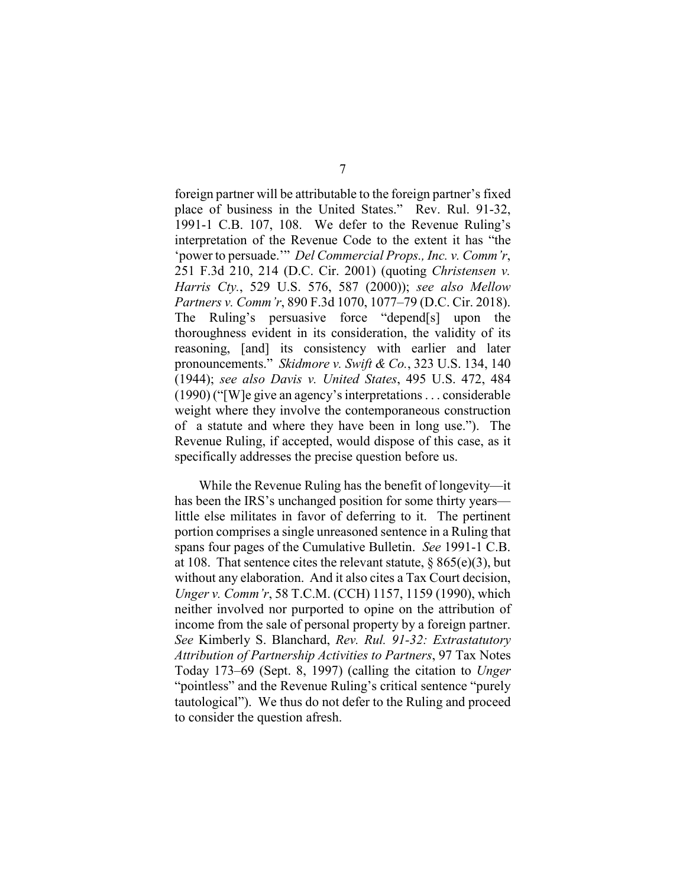foreign partner will be attributable to the foreign partner's fixed place of business in the United States." Rev. Rul. 91-32, 1991-1 C.B. 107, 108. We defer to the Revenue Ruling's interpretation of the Revenue Code to the extent it has "the 'power to persuade.'" *Del Commercial Props., Inc. v. Comm'r*, 251 F.3d 210, 214 (D.C. Cir. 2001) (quoting *Christensen v. Harris Cty.*, 529 U.S. 576, 587 (2000)); *see also Mellow Partners v. Comm'r*, 890 F.3d 1070, 1077–79 (D.C. Cir. 2018). The Ruling's persuasive force "depend[s] upon the thoroughness evident in its consideration, the validity of its reasoning, [and] its consistency with earlier and later pronouncements." *Skidmore v. Swift & Co.*, 323 U.S. 134, 140 (1944); *see also Davis v. United States*, 495 U.S. 472, 484 (1990) ("[W]e give an agency's interpretations . . . considerable weight where they involve the contemporaneous construction of a statute and where they have been in long use."). The Revenue Ruling, if accepted, would dispose of this case, as it specifically addresses the precise question before us.

While the Revenue Ruling has the benefit of longevity—it has been the IRS's unchanged position for some thirty years little else militates in favor of deferring to it. The pertinent portion comprises a single unreasoned sentence in a Ruling that spans four pages of the Cumulative Bulletin. *See* 1991-1 C.B. at 108. That sentence cites the relevant statute,  $\S$  865(e)(3), but without any elaboration. And it also cites a Tax Court decision, *Unger v. Comm'r*, 58 T.C.M. (CCH) 1157, 1159 (1990), which neither involved nor purported to opine on the attribution of income from the sale of personal property by a foreign partner. *See* Kimberly S. Blanchard, *Rev. Rul. 91-32: Extrastatutory Attribution of Partnership Activities to Partners*, 97 Tax Notes Today 173–69 (Sept. 8, 1997) (calling the citation to *Unger*  "pointless" and the Revenue Ruling's critical sentence "purely tautological"). We thus do not defer to the Ruling and proceed to consider the question afresh.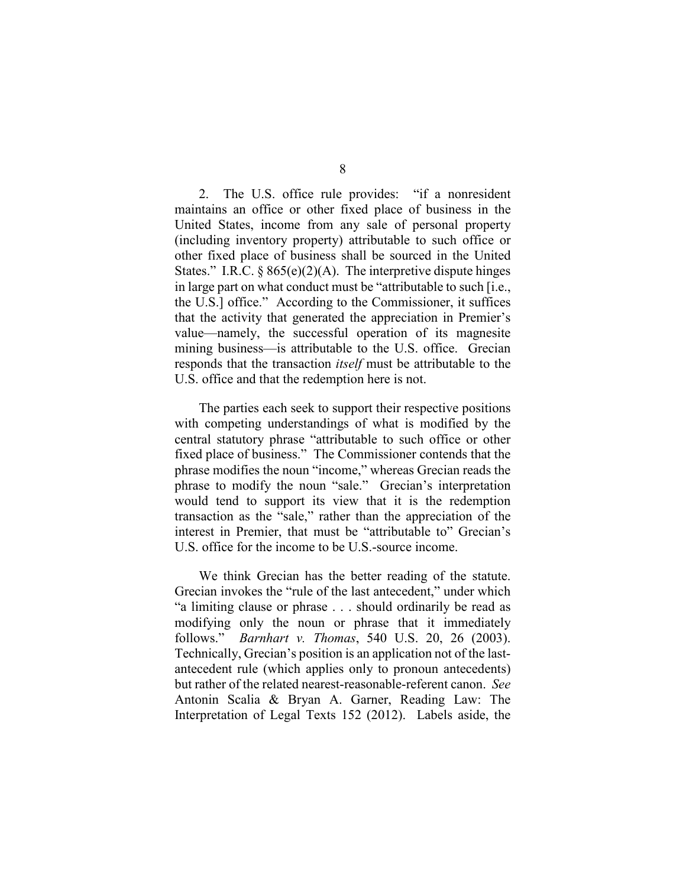2. The U.S. office rule provides: "if a nonresident maintains an office or other fixed place of business in the United States, income from any sale of personal property (including inventory property) attributable to such office or other fixed place of business shall be sourced in the United States." I.R.C.  $\S 865(e)(2)(A)$ . The interpretive dispute hinges in large part on what conduct must be "attributable to such [i.e., the U.S.] office." According to the Commissioner, it suffices that the activity that generated the appreciation in Premier's value—namely, the successful operation of its magnesite mining business—is attributable to the U.S. office. Grecian responds that the transaction *itself* must be attributable to the U.S. office and that the redemption here is not.

The parties each seek to support their respective positions with competing understandings of what is modified by the central statutory phrase "attributable to such office or other fixed place of business." The Commissioner contends that the phrase modifies the noun "income," whereas Grecian reads the phrase to modify the noun "sale." Grecian's interpretation would tend to support its view that it is the redemption transaction as the "sale," rather than the appreciation of the interest in Premier, that must be "attributable to" Grecian's U.S. office for the income to be U.S.-source income.

We think Grecian has the better reading of the statute. Grecian invokes the "rule of the last antecedent," under which "a limiting clause or phrase . . . should ordinarily be read as modifying only the noun or phrase that it immediately follows." *Barnhart v. Thomas*, 540 U.S. 20, 26 (2003). Technically, Grecian's position is an application not of the lastantecedent rule (which applies only to pronoun antecedents) but rather of the related nearest-reasonable-referent canon. *See*  Antonin Scalia & Bryan A. Garner, Reading Law: The Interpretation of Legal Texts 152 (2012). Labels aside, the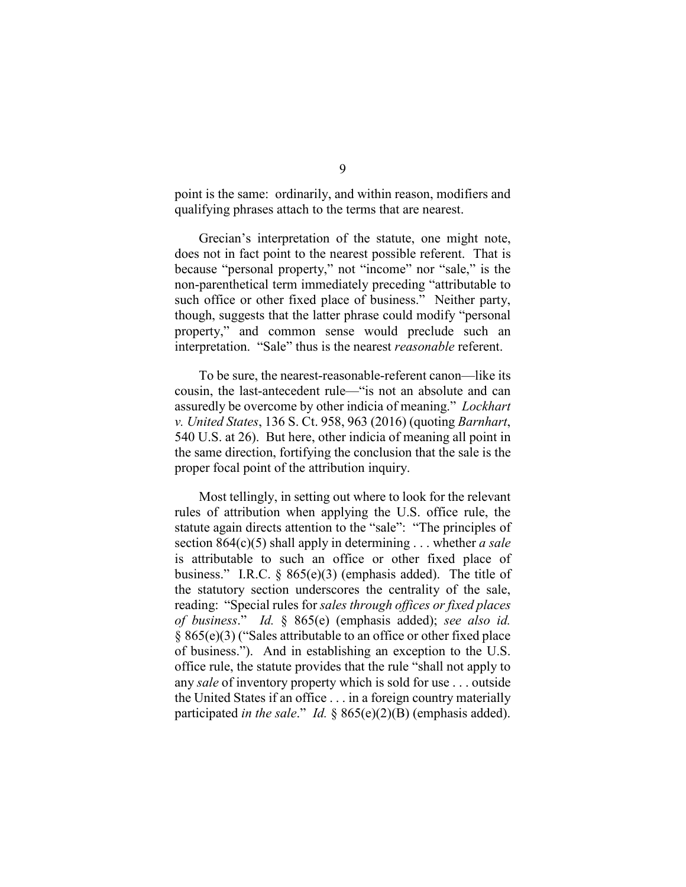point is the same: ordinarily, and within reason, modifiers and qualifying phrases attach to the terms that are nearest.

Grecian's interpretation of the statute, one might note, does not in fact point to the nearest possible referent. That is because "personal property," not "income" nor "sale," is the non-parenthetical term immediately preceding "attributable to such office or other fixed place of business." Neither party, though, suggests that the latter phrase could modify "personal property," and common sense would preclude such an interpretation. "Sale" thus is the nearest *reasonable* referent.

To be sure, the nearest-reasonable-referent canon—like its cousin, the last-antecedent rule—"is not an absolute and can assuredly be overcome by other indicia of meaning." *Lockhart v. United States*, 136 S. Ct. 958, 963 (2016) (quoting *Barnhart*, 540 U.S. at 26). But here, other indicia of meaning all point in the same direction, fortifying the conclusion that the sale is the proper focal point of the attribution inquiry.

Most tellingly, in setting out where to look for the relevant rules of attribution when applying the U.S. office rule, the statute again directs attention to the "sale": "The principles of section 864(c)(5) shall apply in determining . . . whether *a sale*  is attributable to such an office or other fixed place of business." I.R.C. § 865(e)(3) (emphasis added). The title of the statutory section underscores the centrality of the sale, reading: "Special rules for *sales through offices or fixed places of business*." *Id.* § 865(e) (emphasis added); *see also id.*  § 865(e)(3) ("Sales attributable to an office or other fixed place of business."). And in establishing an exception to the U.S. office rule, the statute provides that the rule "shall not apply to any *sale* of inventory property which is sold for use . . . outside the United States if an office . . . in a foreign country materially participated *in the sale*." *Id.* § 865(e)(2)(B) (emphasis added).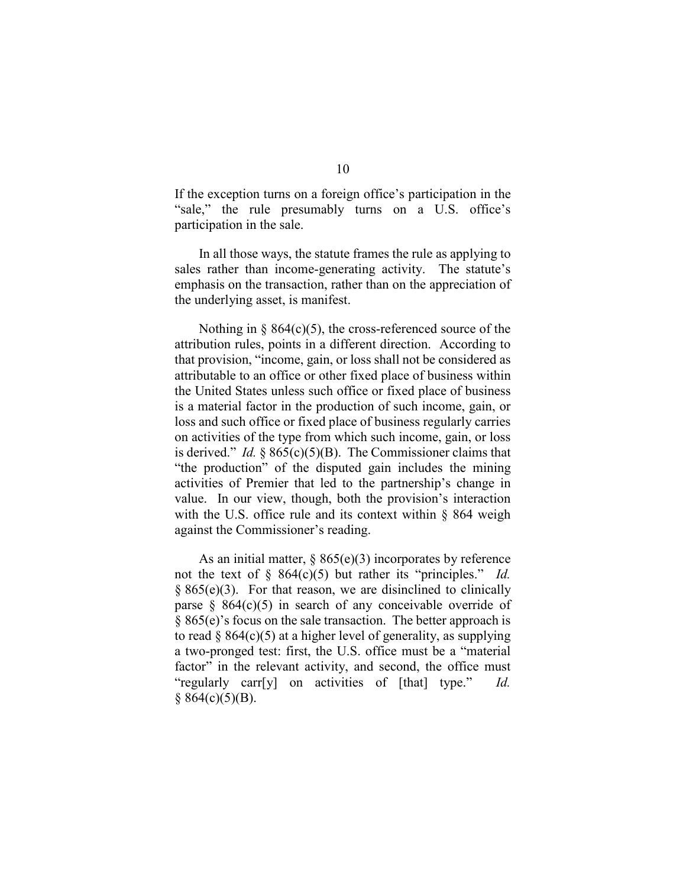If the exception turns on a foreign office's participation in the "sale," the rule presumably turns on a U.S. office's participation in the sale.

In all those ways, the statute frames the rule as applying to sales rather than income-generating activity. The statute's emphasis on the transaction, rather than on the appreciation of the underlying asset, is manifest.

Nothing in  $\S$  864(c)(5), the cross-referenced source of the attribution rules, points in a different direction. According to that provision, "income, gain, or loss shall not be considered as attributable to an office or other fixed place of business within the United States unless such office or fixed place of business is a material factor in the production of such income, gain, or loss and such office or fixed place of business regularly carries on activities of the type from which such income, gain, or loss is derived." *Id.* § 865(c)(5)(B). The Commissioner claims that "the production" of the disputed gain includes the mining activities of Premier that led to the partnership's change in value. In our view, though, both the provision's interaction with the U.S. office rule and its context within § 864 weigh against the Commissioner's reading.

As an initial matter,  $\S 865(e)(3)$  incorporates by reference not the text of § 864(c)(5) but rather its "principles." *Id.*  $\S 865(e)(3)$ . For that reason, we are disinclined to clinically parse  $\S$  864(c)(5) in search of any conceivable override of § 865(e)'s focus on the sale transaction. The better approach is to read  $\S$  864(c)(5) at a higher level of generality, as supplying a two-pronged test: first, the U.S. office must be a "material factor" in the relevant activity, and second, the office must "regularly carr[y] on activities of [that] type." *Id.*   $§ 864(c)(5)(B).$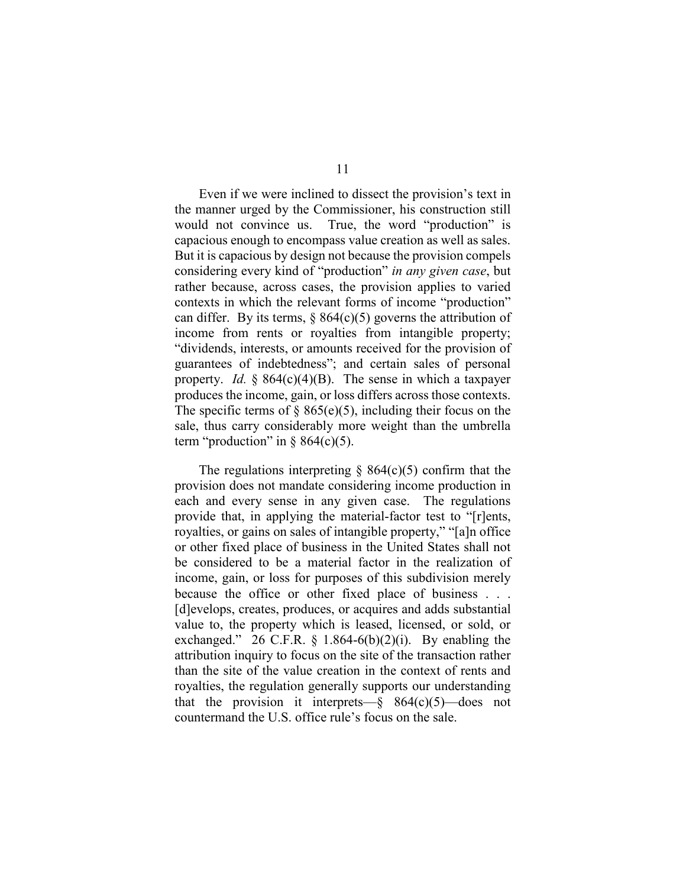Even if we were inclined to dissect the provision's text in the manner urged by the Commissioner, his construction still would not convince us. True, the word "production" is capacious enough to encompass value creation as well as sales. But it is capacious by design not because the provision compels considering every kind of "production" *in any given case*, but rather because, across cases, the provision applies to varied contexts in which the relevant forms of income "production" can differ. By its terms,  $\S$  864(c)(5) governs the attribution of income from rents or royalties from intangible property; "dividends, interests, or amounts received for the provision of guarantees of indebtedness"; and certain sales of personal property. *Id.* § 864(c)(4)(B). The sense in which a taxpayer produces the income, gain, or loss differs across those contexts. The specific terms of  $\S$  865(e)(5), including their focus on the sale, thus carry considerably more weight than the umbrella term "production" in  $\S 864(c)(5)$ .

The regulations interpreting  $\S$  864(c)(5) confirm that the provision does not mandate considering income production in each and every sense in any given case. The regulations provide that, in applying the material-factor test to "[r]ents, royalties, or gains on sales of intangible property," "[a]n office or other fixed place of business in the United States shall not be considered to be a material factor in the realization of income, gain, or loss for purposes of this subdivision merely because the office or other fixed place of business . . . [d]evelops, creates, produces, or acquires and adds substantial value to, the property which is leased, licensed, or sold, or exchanged." 26 C.F.R.  $\S$  1.864-6(b)(2)(i). By enabling the attribution inquiry to focus on the site of the transaction rather than the site of the value creation in the context of rents and royalties, the regulation generally supports our understanding that the provision it interprets— $§$  864(c)(5)—does not countermand the U.S. office rule's focus on the sale.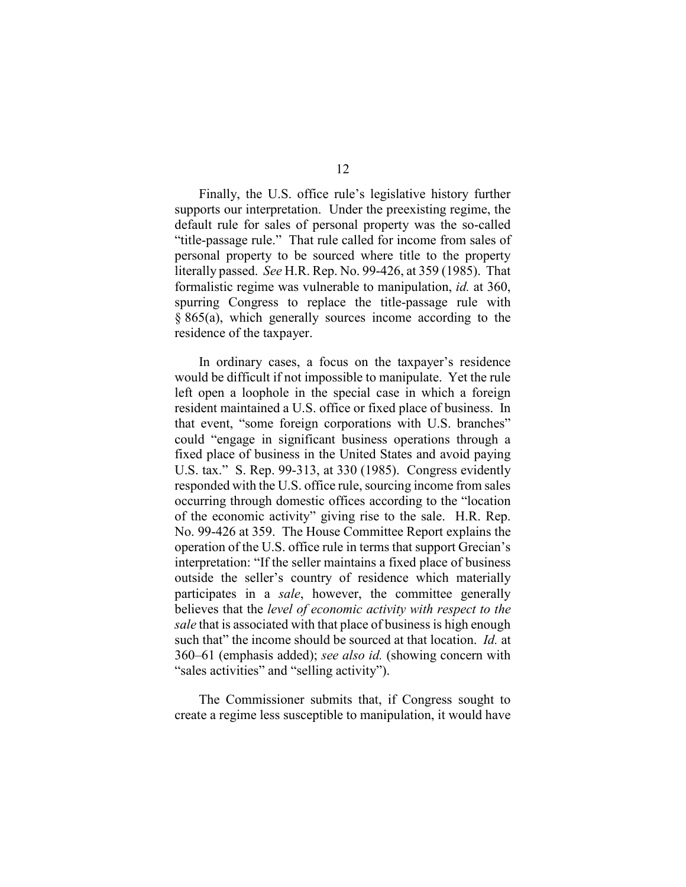Finally, the U.S. office rule's legislative history further supports our interpretation. Under the preexisting regime, the default rule for sales of personal property was the so-called "title-passage rule." That rule called for income from sales of personal property to be sourced where title to the property literally passed. *See* H.R. Rep. No. 99-426, at 359 (1985). That formalistic regime was vulnerable to manipulation, *id.* at 360, spurring Congress to replace the title-passage rule with § 865(a), which generally sources income according to the residence of the taxpayer.

In ordinary cases, a focus on the taxpayer's residence would be difficult if not impossible to manipulate. Yet the rule left open a loophole in the special case in which a foreign resident maintained a U.S. office or fixed place of business. In that event, "some foreign corporations with U.S. branches" could "engage in significant business operations through a fixed place of business in the United States and avoid paying U.S. tax." S. Rep. 99-313, at 330 (1985). Congress evidently responded with the U.S. office rule, sourcing income from sales occurring through domestic offices according to the "location of the economic activity" giving rise to the sale. H.R. Rep. No. 99-426 at 359. The House Committee Report explains the operation of the U.S. office rule in terms that support Grecian's interpretation: "If the seller maintains a fixed place of business outside the seller's country of residence which materially participates in a *sale*, however, the committee generally believes that the *level of economic activity with respect to the sale* that is associated with that place of business is high enough such that" the income should be sourced at that location. *Id.* at 360–61 (emphasis added); *see also id.* (showing concern with "sales activities" and "selling activity").

The Commissioner submits that, if Congress sought to create a regime less susceptible to manipulation, it would have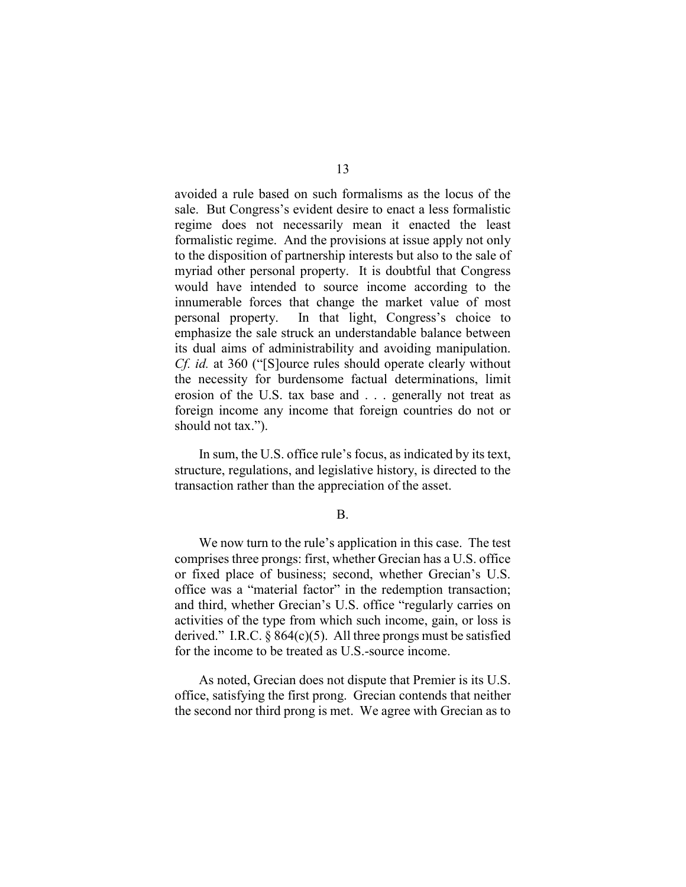avoided a rule based on such formalisms as the locus of the sale. But Congress's evident desire to enact a less formalistic regime does not necessarily mean it enacted the least formalistic regime. And the provisions at issue apply not only to the disposition of partnership interests but also to the sale of myriad other personal property. It is doubtful that Congress would have intended to source income according to the innumerable forces that change the market value of most personal property. In that light, Congress's choice to emphasize the sale struck an understandable balance between its dual aims of administrability and avoiding manipulation. *Cf. id.* at 360 ("[S]ource rules should operate clearly without the necessity for burdensome factual determinations, limit erosion of the U.S. tax base and . . . generally not treat as foreign income any income that foreign countries do not or should not tax.").

In sum, the U.S. office rule's focus, as indicated by its text, structure, regulations, and legislative history, is directed to the transaction rather than the appreciation of the asset.

## B.

We now turn to the rule's application in this case. The test comprises three prongs: first, whether Grecian has a U.S. office or fixed place of business; second, whether Grecian's U.S. office was a "material factor" in the redemption transaction; and third, whether Grecian's U.S. office "regularly carries on activities of the type from which such income, gain, or loss is derived." I.R.C.  $\S 864(c)(5)$ . All three prongs must be satisfied for the income to be treated as U.S.-source income.

As noted, Grecian does not dispute that Premier is its U.S. office, satisfying the first prong. Grecian contends that neither the second nor third prong is met. We agree with Grecian as to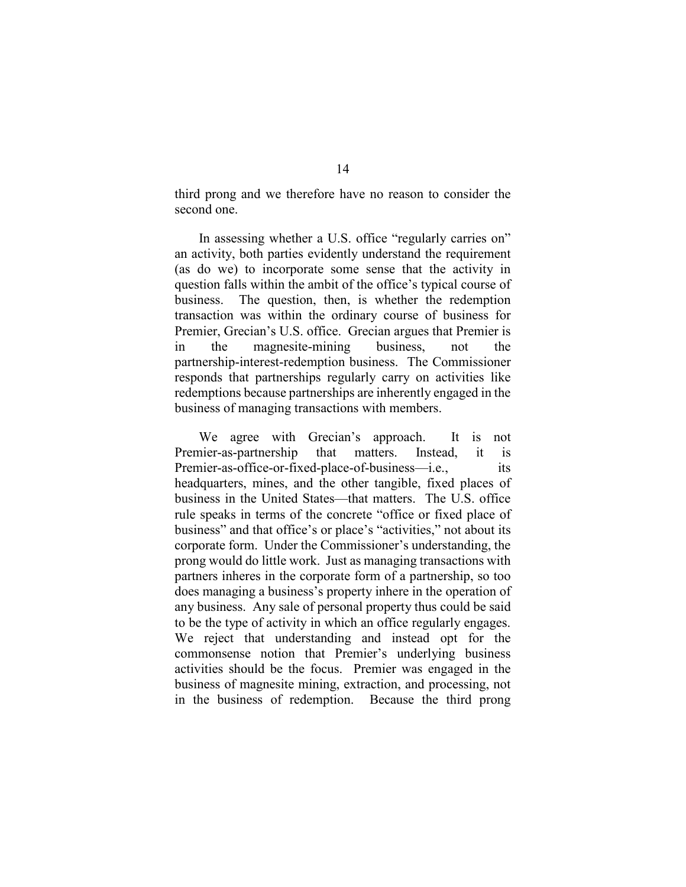third prong and we therefore have no reason to consider the second one.

In assessing whether a U.S. office "regularly carries on" an activity, both parties evidently understand the requirement (as do we) to incorporate some sense that the activity in question falls within the ambit of the office's typical course of business. The question, then, is whether the redemption transaction was within the ordinary course of business for Premier, Grecian's U.S. office. Grecian argues that Premier is in the magnesite-mining business, not the partnership-interest-redemption business. The Commissioner responds that partnerships regularly carry on activities like redemptions because partnerships are inherently engaged in the business of managing transactions with members.

We agree with Grecian's approach. It is not Premier-as-partnership that matters. Instead, it is Premier-as-office-or-fixed-place-of-business—i.e., its headquarters, mines, and the other tangible, fixed places of business in the United States—that matters. The U.S. office rule speaks in terms of the concrete "office or fixed place of business" and that office's or place's "activities," not about its corporate form. Under the Commissioner's understanding, the prong would do little work. Just as managing transactions with partners inheres in the corporate form of a partnership, so too does managing a business's property inhere in the operation of any business. Any sale of personal property thus could be said to be the type of activity in which an office regularly engages. We reject that understanding and instead opt for the commonsense notion that Premier's underlying business activities should be the focus. Premier was engaged in the business of magnesite mining, extraction, and processing, not in the business of redemption. Because the third prong